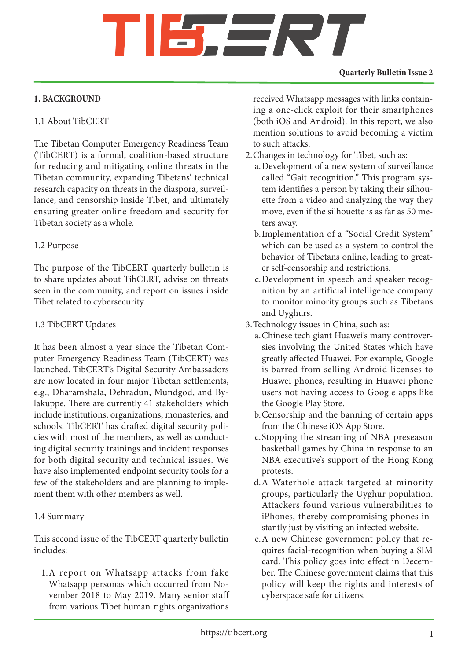# SERT

### **Quarterly Bulletin Issue 2**

# **1. BACKGROUND**

# 1.1 About TibCERT

The Tibetan Computer Emergency Readiness Team (TibCERT) is a formal, coalition-based structure for reducing and mitigating online threats in the Tibetan community, expanding Tibetans' technical research capacity on threats in the diaspora, surveillance, and censorship inside Tibet, and ultimately ensuring greater online freedom and security for Tibetan society as a whole.

# 1.2 Purpose

The purpose of the TibCERT quarterly bulletin is to share updates about TibCERT, advise on threats seen in the community, and report on issues inside Tibet related to cybersecurity.

# 1.3 TibCERT Updates

It has been almost a year since the Tibetan Computer Emergency Readiness Team (TibCERT) was launched. TibCERT's Digital Security Ambassadors are now located in four major Tibetan settlements, e.g., Dharamshala, Dehradun, Mundgod, and Bylakuppe. There are currently 41 stakeholders which include institutions, organizations, monasteries, and schools. TibCERT has drafted digital security policies with most of the members, as well as conducting digital security trainings and incident responses for both digital security and technical issues. We have also implemented endpoint security tools for a few of the stakeholders and are planning to implement them with other members as well.

# 1.4 Summary

This second issue of the TibCERT quarterly bulletin includes:

1.A report on Whatsapp attacks from fake Whatsapp personas which occurred from November 2018 to May 2019. Many senior staff from various Tibet human rights organizations

received Whatsapp messages with links containing a one-click exploit for their smartphones (both iOS and Android). In this report, we also mention solutions to avoid becoming a victim to such attacks.

- 2.Changes in technology for Tibet, such as:
	- a.Development of a new system of surveillance called "Gait recognition." This program system identifies a person by taking their silhouette from a video and analyzing the way they move, even if the silhouette is as far as 50 meters away.
	- b.Implementation of a "Social Credit System" which can be used as a system to control the behavior of Tibetans online, leading to greater self-censorship and restrictions.
	- c.Development in speech and speaker recognition by an artificial intelligence company to monitor minority groups such as Tibetans and Uyghurs.
- 3.Technology issues in China, such as:
	- a.Chinese tech giant Huawei's many controversies involving the United States which have greatly affected Huawei. For example, Google is barred from selling Android licenses to Huawei phones, resulting in Huawei phone users not having access to Google apps like the Google Play Store.
	- b.Censorship and the banning of certain apps from the Chinese iOS App Store.
	- c.Stopping the streaming of NBA preseason basketball games by China in response to an NBA executive's support of the Hong Kong protests.
	- d.A Waterhole attack targeted at minority groups, particularly the Uyghur population. Attackers found various vulnerabilities to iPhones, thereby compromising phones instantly just by visiting an infected website.
	- e.A new Chinese government policy that requires facial-recognition when buying a SIM card. This policy goes into effect in December. The Chinese government claims that this policy will keep the rights and interests of cyberspace safe for citizens.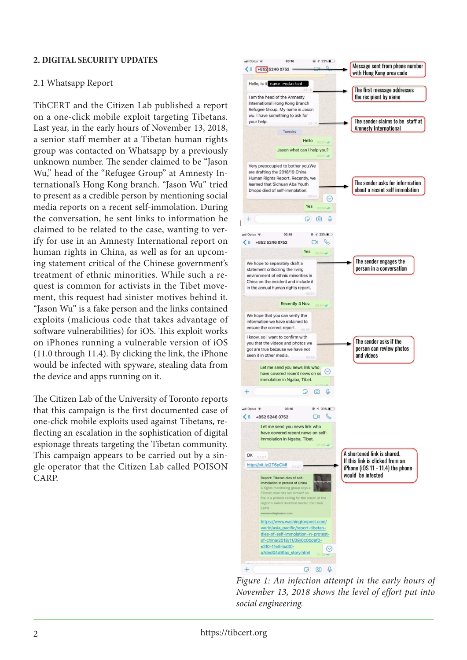### **2. DIGITAL SECURITY UPDATES**

#### 2.1 Whatsapp Report

TibCERT and the Citizen Lab published a report on a one-click mobile exploit targeting Tibetans. Last year, in the early hours of November 13, 2018, a senior staff member at a Tibetan human rights group was contacted on Whatsapp by a previously unknown number. The sender claimed to be "Jason Wu," head of the "Refugee Group" at Amnesty International's Hong Kong branch. "Jason Wu" tried to present as a credible person by mentioning social media reports on a recent self-immolation. During the conversation, he sent links to information he claimed to be related to the case, wanting to verify for use in an Amnesty International report on human rights in China, as well as for an upcoming statement critical of the Chinese government's treatment of ethnic minorities. While such a request is common for activists in the Tibet movement, this request had sinister motives behind it. "Jason Wu" is a fake person and the links contained exploits (malicious code that takes advantage of software vulnerabilities) for iOS. This exploit works on iPhones running a vulnerable version of iOS (11.0 through 11.4). By clicking the link, the iPhone would be infected with spyware, stealing data from the device and apps running on it.

The Citizen Lab of the University of Toronto reports that this campaign is the first documented case of one-click mobile exploits used against Tibetans, reflecting an escalation in the sophistication of digital espionage threats targeting the Tibetan community. This campaign appears to be carried out by a single operator that the Citizen Lab called POISON CARP



*Figure 1: An infection attempt in the early hours of November 13, 2018 shows the level of effort put into social engineering.*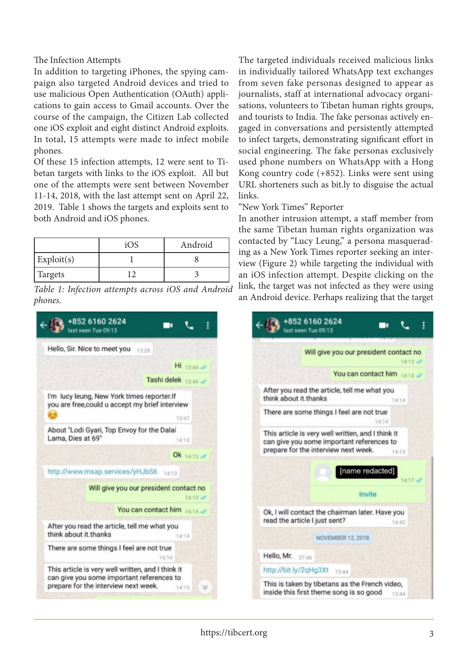The Infection Attempts

In addition to targeting iPhones, the spying campaign also targeted Android devices and tried to use malicious Open Authentication (OAuth) applications to gain access to Gmail accounts. Over the course of the campaign, the Citizen Lab collected one iOS exploit and eight distinct Android exploits. In total, 15 attempts were made to infect mobile phones.

Of these 15 infection attempts, 12 were sent to Tibetan targets with links to the iOS exploit. All but one of the attempts were sent between November 11-14, 2018, with the last attempt sent on April 22, 2019. Table 1 shows the targets and exploits sent to both Android and iOS phones.

|                       | iOS | Android |
|-----------------------|-----|---------|
| $\mathbf{Exploit}(s)$ |     |         |
| Targets               |     |         |

*Table 1: Infection attempts across iOS and Android phones.*



The targeted individuals received malicious links in individually tailored WhatsApp text exchanges from seven fake personas designed to appear as journalists, staff at international advocacy organisations, volunteers to Tibetan human rights groups, and tourists to India. The fake personas actively engaged in conversations and persistently attempted to infect targets, demonstrating significant effort in social engineering. The fake personas exclusively used phone numbers on WhatsApp with a Hong Kong country code (+852). Links were sent using URL shorteners such as bit.ly to disguise the actual links.

"New York Times" Reporter

In another intrusion attempt, a staff member from the same Tibetan human rights organization was contacted by "Lucy Leung," a persona masquerading as a New York Times reporter seeking an interview (Figure 2) while targeting the individual with an iOS infection attempt. Despite clicking on the link, the target was not infected as they were using an Android device. Perhaps realizing that the target

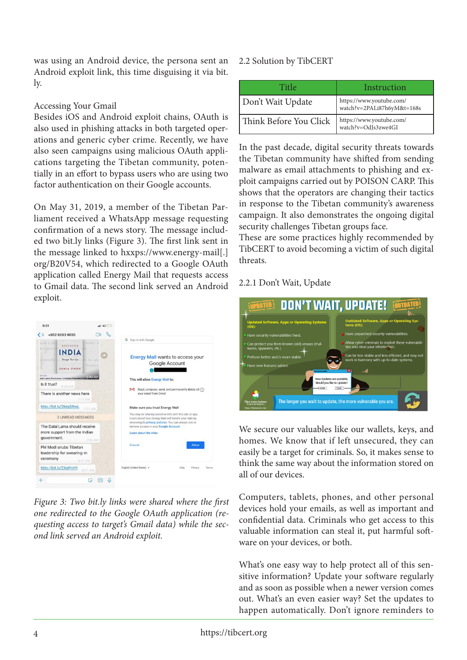was using an Android device, the persona sent an Android exploit link, this time disguising it via bit. ly.

# Accessing Your Gmail

Besides iOS and Android exploit chains, OAuth is also used in phishing attacks in both targeted operations and generic cyber crime. Recently, we have also seen campaigns using malicious OAuth applications targeting the Tibetan community, potentially in an effort to bypass users who are using two factor authentication on their Google accounts.

On May 31, 2019, a member of the Tibetan Parliament received a WhatsApp message requesting confirmation of a news story. The message included two bit.ly links (Figure 3). The first link sent in the message linked to hxxps://www.energy-mail[.] org/B20V54, which redirected to a Google OAuth application called Energy Mail that requests access to Gmail data. The second link served an Android exploit.

| another m<br>ment is the<br>DEFINING                                                                                                                                                                                                                               | G Sign in with Google                                                                                                                                                                                                                       |
|--------------------------------------------------------------------------------------------------------------------------------------------------------------------------------------------------------------------------------------------------------------------|---------------------------------------------------------------------------------------------------------------------------------------------------------------------------------------------------------------------------------------------|
| <b>RUN AITLE</b><br><b>Bri</b> has alw<br>mentally<br>Through Their Eyes<br>NIRMALA<br>SONIA SINGH<br><b>BETNET</b><br>alai Lama Exclusive: Chinese President Had Agre<br>Is it true?<br>6:59 AM<br>There is another news here<br>7:17 AM<br>http://bit.ly/2MgSRwL | <b>Energy Mail wants to access your</b><br>Google Account<br>This will allow Energy Mail to:<br>Read, compose, send, and permanently delete all $\binom{7}{1}$<br>м<br>your email from Gmail<br>Make sure you trust Energy Mail             |
| 7:17 AM<br><b>3 UNREAD MESSAGES</b><br>The Dalai Lama should receive<br>more support from the Indian                                                                                                                                                               | You may be sharing sensitive info with this site or app.<br>Learn about how Energy Mail will handle your data by<br>reviewing its privacy policies. You can always see or<br>remove access in your Google Account.<br>Learn about the risks |
| government.<br>7:34 AM<br>PM Modi snubs Tibetan<br>leadership for swearing-in<br>ceremony<br>8:41 AM                                                                                                                                                               | Cancel<br>Allow                                                                                                                                                                                                                             |

*Figure 3: Two bit.ly links were shared where the first one redirected to the Google OAuth application (requesting access to target's Gmail data) while the second link served an Android exploit.*

# 2.2 Solution by TibCERT

| Title                  | Instruction                                            |
|------------------------|--------------------------------------------------------|
| Don't Wait Update      | https://www.youtube.com/<br>watch?v=2PALi87h6yM&t=168s |
| Think Before You Click | https://www.youtube.com/<br>watch?v=OdJs3zwe4GI        |

In the past decade, digital security threats towards the Tibetan community have shifted from sending malware as email attachments to phishing and exploit campaigns carried out by POISON CARP. This shows that the operators are changing their tactics in response to the Tibetan community's awareness campaign. It also demonstrates the ongoing digital security challenges Tibetan groups face.

These are some practices highly recommended by TibCERT to avoid becoming a victim of such digital threats.

# 2.2.1 Don't Wait, Update



We secure our valuables like our wallets, keys, and homes. We know that if left unsecured, they can easily be a target for criminals. So, it makes sense to think the same way about the information stored on all of our devices.

Computers, tablets, phones, and other personal devices hold your emails, as well as important and confidential data. Criminals who get access to this valuable information can steal it, put harmful software on your devices, or both.

What's one easy way to help protect all of this sensitive information? Update your software regularly and as soon as possible when a newer version comes out. What's an even easier way? Set the updates to happen automatically. Don't ignore reminders to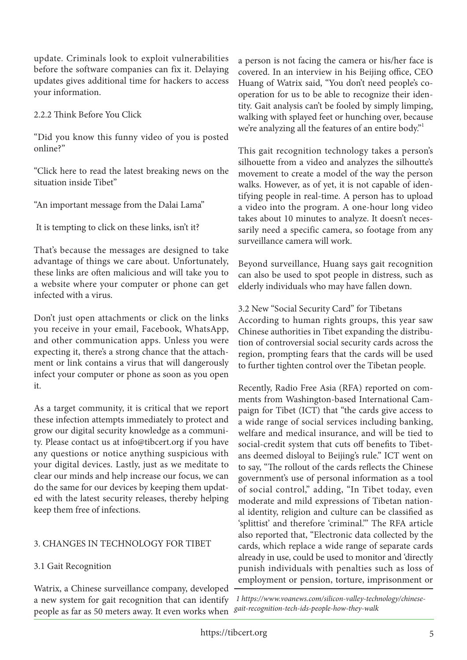update. Criminals look to exploit vulnerabilities before the software companies can fix it. Delaying updates gives additional time for hackers to access your information.

2.2.2 Think Before You Click

"Did you know this funny video of you is posted online?"

"Click here to read the latest breaking news on the situation inside Tibet"

"An important message from the Dalai Lama"

It is tempting to click on these links, isn't it?

That's because the messages are designed to take advantage of things we care about. Unfortunately, these links are often malicious and will take you to a website where your computer or phone can get infected with a virus.

Don't just open attachments or click on the links you receive in your email, Facebook, WhatsApp, and other communication apps. Unless you were expecting it, there's a strong chance that the attachment or link contains a virus that will dangerously infect your computer or phone as soon as you open it.

As a target community, it is critical that we report these infection attempts immediately to protect and grow our digital security knowledge as a community. Please contact us at info@tibcert.org if you have any questions or notice anything suspicious with your digital devices. Lastly, just as we meditate to clear our minds and help increase our focus, we can do the same for our devices by keeping them updated with the latest security releases, thereby helping keep them free of infections.

# 3. CHANGES IN TECHNOLOGY FOR TIBET

# 3.1 Gait Recognition

Watrix, a Chinese surveillance company, developed a new system for gait recognition that can identify people as far as 50 meters away. It even works when a person is not facing the camera or his/her face is covered. In an interview in his Beijing office, CEO Huang of Watrix said, "You don't need people's cooperation for us to be able to recognize their identity. Gait analysis can't be fooled by simply limping, walking with splayed feet or hunching over, because we're analyzing all the features of an entire body."<sup>1</sup>

This gait recognition technology takes a person's silhouette from a video and analyzes the silhoutte's movement to create a model of the way the person walks. However, as of yet, it is not capable of identifying people in real-time. A person has to upload a video into the program. A one-hour long video takes about 10 minutes to analyze. It doesn't necessarily need a specific camera, so footage from any surveillance camera will work.

Beyond surveillance, Huang says gait recognition can also be used to spot people in distress, such as elderly individuals who may have fallen down.

3.2 New "Social Security Card" for Tibetans According to human rights groups, this year saw Chinese authorities in Tibet expanding the distribution of controversial social security cards across the region, prompting fears that the cards will be used to further tighten control over the Tibetan people.

Recently, Radio Free Asia (RFA) reported on comments from Washington-based International Campaign for Tibet (ICT) that "the cards give access to a wide range of social services including banking, welfare and medical insurance, and will be tied to social-credit system that cuts off benefits to Tibetans deemed disloyal to Beijing's rule." ICT went on to say, "The rollout of the cards reflects the Chinese government's use of personal information as a tool of social control," adding, "In Tibet today, even moderate and mild expressions of Tibetan national identity, religion and culture can be classified as 'splittist' and therefore 'criminal.'" The RFA article also reported that, "Electronic data collected by the cards, which replace a wide range of separate cards already in use, could be used to monitor and 'directly punish individuals with penalties such as loss of employment or pension, torture, imprisonment or

 *1 https://www.voanews.com/silicon-valley-technology/chinesegait-recognition-tech-ids-people-how-they-walk*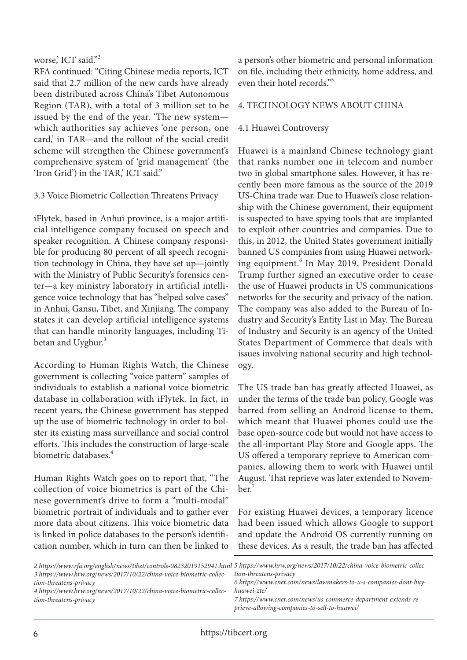# worse,' ICT said."<sup>2</sup>

RFA continued: "Citing Chinese media reports, ICT said that 2.7 million of the new cards have already been distributed across China's Tibet Autonomous Region (TAR), with a total of 3 million set to be issued by the end of the year. 'The new system which authorities say achieves 'one person, one card,' in TAR—and the rollout of the social credit scheme will strengthen the Chinese government's comprehensive system of 'grid management' (the 'Iron Grid') in the TAR, ICT said."

3.3 Voice Biometric Collection Threatens Privacy

iFlytek, based in Anhui province, is a major artificial intelligence company focused on speech and speaker recognition. A Chinese company responsible for producing 80 percent of all speech recognition technology in China, they have set up—jointly with the Ministry of Public Security's forensics center—a key ministry laboratory in artificial intelligence voice technology that has "helped solve cases" in Anhui, Gansu, Tibet, and Xinjiang. The company states it can develop artificial intelligence systems that can handle minority languages, including Tibetan and Uyghur.<sup>3</sup>

According to Human Rights Watch, the Chinese government is collecting "voice pattern" samples of individuals to establish a national voice biometric database in collaboration with iFlytek. In fact, in recent years, the Chinese government has stepped up the use of biometric technology in order to bolster its existing mass surveillance and social control efforts. This includes the construction of large-scale biometric databases.<sup>4</sup>

Human Rights Watch goes on to report that, "The collection of voice biometrics is part of the Chinese government's drive to form a "multi-modal" biometric portrait of individuals and to gather ever more data about citizens. This voice biometric data is linked in police databases to the person's identification number, which in turn can then be linked to

a person's other biometric and personal information on file, including their ethnicity, home address, and even their hotel records."5

### 4. TECHNOLOGY NEWS ABOUT CHINA

### 4.1 Huawei Controversy

Huawei is a mainland Chinese technology giant that ranks number one in telecom and number two in global smartphone sales. However, it has recently been more famous as the source of the 2019 US-China trade war. Due to Huawei's close relationship with the Chinese government, their equipment is suspected to have spying tools that are implanted to exploit other countries and companies. Due to this, in 2012, the United States government initially banned US companies from using Huawei networking equipment.<sup>6</sup> In May 2019, President Donald Trump further signed an executive order to cease the use of Huawei products in US communications networks for the security and privacy of the nation. The company was also added to the Bureau of Industry and Security's Entity List in May. The Bureau of Industry and Security is an agency of the United States Department of Commerce that deals with issues involving national security and high technology.

The US trade ban has greatly affected Huawei, as under the terms of the trade ban policy, Google was barred from selling an Android license to them, which meant that Huawei phones could use the base open-source code but would not have access to the all-important Play Store and Google apps. The US offered a temporary reprieve to American companies, allowing them to work with Huawei until August. That reprieve was later extended to November.<sup>7</sup>

For existing Huawei devices, a temporary licence had been issued which allows Google to support and update the Android OS currently running on these devices. As a result, the trade ban has affected

| 3 https://www.hrw.org/news/2017/10/22/china-voice-biometric-collec-<br>tion-threatens-privacy<br>4 https://www.hrw.org/news/2017/10/22/china-voice-biometric-collec-<br>tion-threatens-privacy | 2 https://www.rfa.org/english/news/tibet/controls-08232019152941.html 5 https://www.hrw.org/news/2017/10/22/china-voice-biometric-collec-<br>tion-threatens-privacy<br>6 https://www.cnet.com/news/lawmakers-to-u-s-companies-dont-buy-<br>huawei-zte/<br>7 https://www.cnet.com/news/us-commerce-department-extends-re-<br>prieve-allowing-companies-to-sell-to-huawei/ |
|------------------------------------------------------------------------------------------------------------------------------------------------------------------------------------------------|--------------------------------------------------------------------------------------------------------------------------------------------------------------------------------------------------------------------------------------------------------------------------------------------------------------------------------------------------------------------------|
|------------------------------------------------------------------------------------------------------------------------------------------------------------------------------------------------|--------------------------------------------------------------------------------------------------------------------------------------------------------------------------------------------------------------------------------------------------------------------------------------------------------------------------------------------------------------------------|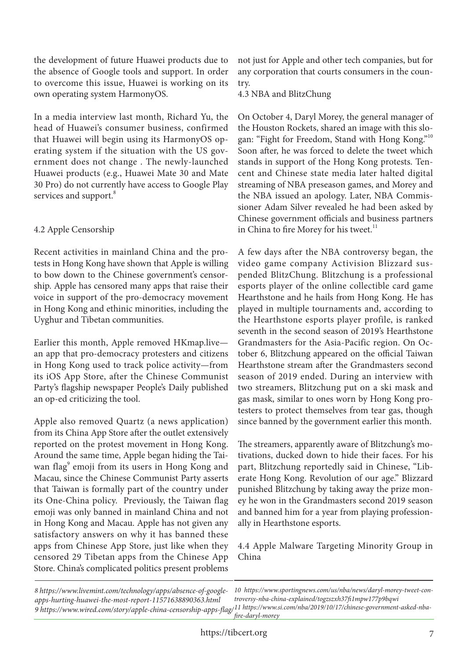the development of future Huawei products due to the absence of Google tools and support. In order to overcome this issue, Huawei is working on its own operating system HarmonyOS.

In a media interview last month, Richard Yu, the head of Huawei's consumer business, confirmed that Huawei will begin using its HarmonyOS operating system if the situation with the US government does not change . The newly-launched Huawei products (e.g., Huawei Mate 30 and Mate 30 Pro) do not currently have access to Google Play services and support.<sup>8</sup>

# 4.2 Apple Censorship

Recent activities in mainland China and the protests in Hong Kong have shown that Apple is willing to bow down to the Chinese government's censorship. Apple has censored many apps that raise their voice in support of the pro-democracy movement in Hong Kong and ethinic minorities, including the Uyghur and Tibetan communities.

Earlier this month, Apple removed HKmap.live an app that pro-democracy protesters and citizens in Hong Kong used to track police activity—from its iOS App Store, after the Chinese Communist Party's flagship newspaper People's Daily published an op-ed criticizing the tool.

Apple also removed Quartz (a news application) from its China App Store after the outlet extensively reported on the protest movement in Hong Kong. Around the same time, Apple began hiding the Taiwan flag<sup>9</sup> emoji from its users in Hong Kong and Macau, since the Chinese Communist Party asserts that Taiwan is formally part of the country under its One-China policy. Previously, the Taiwan flag emoji was only banned in mainland China and not in Hong Kong and Macau. Apple has not given any satisfactory answers on why it has banned these apps from Chinese App Store, just like when they censored 29 Tibetan apps from the Chinese App Store. China's complicated politics present problems

not just for Apple and other tech companies, but for any corporation that courts consumers in the country.

4.3 NBA and BlitzChung

On October 4, Daryl Morey, the general manager of the Houston Rockets, shared an image with this slogan: "Fight for Freedom, Stand with Hong Kong."<sup>10</sup> Soon after, he was forced to delete the tweet which stands in support of the Hong Kong protests. Tencent and Chinese state media later halted digital streaming of NBA preseason games, and Morey and the NBA issued an apology. Later, NBA Commissioner Adam Silver revealed he had been asked by Chinese government officials and business partners in China to fire Morey for his tweet.<sup>11</sup>

A few days after the NBA controversy began, the video game company Activision Blizzard suspended BlitzChung. Blitzchung is a professional esports player of the online collectible card game Hearthstone and he hails from Hong Kong. He has played in multiple tournaments and, according to the Hearthstone esports player profile, is ranked seventh in the second season of 2019's Hearthstone Grandmasters for the Asia-Pacific region. On October 6, Blitzchung appeared on the official Taiwan Hearthstone stream after the Grandmasters second season of 2019 ended. During an interview with two streamers, Blitzchung put on a ski mask and gas mask, similar to ones worn by Hong Kong protesters to protect themselves from tear gas, though since banned by the government earlier this month.

The streamers, apparently aware of Blitzchung's motivations, ducked down to hide their faces. For his part, Blitzchung reportedly said in Chinese, "Liberate Hong Kong. Revolution of our age." Blizzard punished Blitzchung by taking away the prize money he won in the Grandmasters second 2019 season and banned him for a year from playing professionally in Hearthstone esports.

4.4 Apple Malware Targeting Minority Group in China

*8 https://www.livemint.com/technology/apps/absence-of-googleapps-hurting-huawei-the-most-report-11571638890363.html 9 https://www.wired.com/story/apple-china-censorship-apps-flag/ 11 https://www.si.com/nba/2019/10/17/chinese-government-asked-nba-*

*10 https://www.sportingnews.com/us/nba/news/daryl-morey-tweet-controversy-nba-china-explained/togzszxh37fi1mpw177p9bqwi fire-daryl-morey*